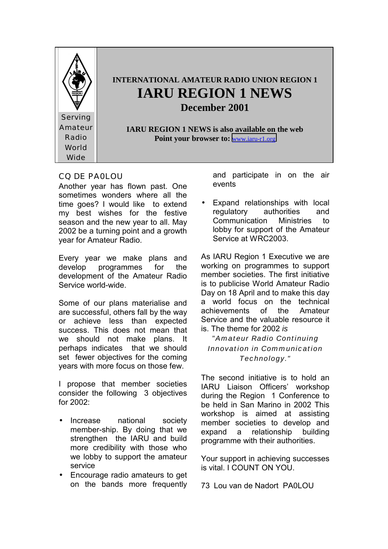

# CQ DE PA0LOU

Another year has flown past. One sometimes wonders where all the time goes? I would like to extend my best wishes for the festive season and the new year to all. May 2002 be a turning point and a growth year for Amateur Radio.

Every year we make plans and develop programmes for the development of the Amateur Radio Service world-wide.

Some of our plans materialise and are successful, others fall by the way or achieve less than expected success. This does not mean that we should not make plans. It perhaps indicates that we should set fewer objectives for the coming years with more focus on those few.

I propose that member societies consider the following 3 objectives for 2002:

- Increase national society member-ship. By doing that we strengthen the IARU and build more credibility with those who we lobby to support the amateur service
- Encourage radio amateurs to get on the bands more frequently

and participate in on the air events

• Expand relationships with local regulatory authorities and Communication Ministries to lobby for support of the Amateur Service at WRC2003.

As IARU Region 1 Executive we are working on programmes to support member societies. The first initiative is to publicise World Amateur Radio Day on 18 April and to make this day a world focus on the technical achievements of the Amateur Service and the valuable resource it is. The theme for 2002 *is*

*"Amateur Radio Continuing Innovation in Communication Technology."*

The second initiative is to hold an IARU Liaison Officers' workshop during the Region 1 Conference to be held in San Marino in 2002 This workshop is aimed at assisting member societies to develop and expand a relationship building programme with their authorities.

Your support in achieving successes is vital. I COUNT ON YOU.

73 Lou van de Nadort PA0LOU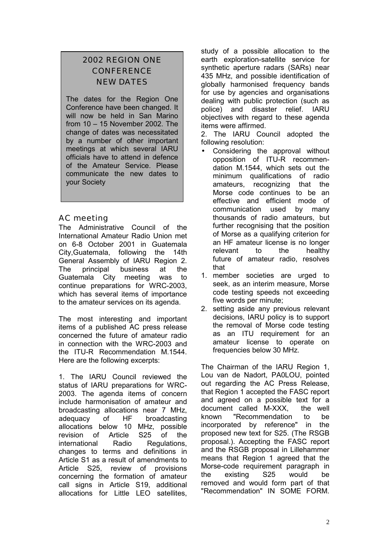# 2002 REGION ONE **CONFERENCE** NEW DATES

The dates for the Region One Conference have been changed. It will now be held in San Marino from 10 – 15 November 2002. The change of dates was necessitated by a number of other important meetings at which several IARU officials have to attend in defence of the Amateur Service. Please communicate the new dates to your Society

# AC meeting

The Administrative Council of the International Amateur Radio Union met on 6-8 October 2001 in Guatemala City,Guatemala, following the 14th General Assembly of IARU Region 2. The principal business at the Guatemala City meeting was to continue preparations for WRC-2003, which has several items of importance to the amateur services on its agenda.

The most interesting and important items of a published AC press release concerned the future of amateur radio in connection with the WRC-2003 and the ITU-R Recommendation M.1544. Here are the following excerpts:

1. The IARU Council reviewed the status of IARU preparations for WRC-2003. The agenda items of concern include harmonisation of amateur and broadcasting allocations near 7 MHz, adequacy of HF broadcasting allocations below 10 MHz, possible revision of Article S25 of the international Radio Regulations, changes to terms and definitions in Article S1 as a result of amendments to Article S25, review of provisions concerning the formation of amateur call signs in Article S19, additional allocations for Little LEO satellites,

study of a possible allocation to the earth exploration-satellite service for synthetic aperture radars (SARs) near 435 MHz, and possible identification of globally harmonised frequency bands for use by agencies and organisations dealing with public protection (such as police) and disaster relief. IARU objectives with regard to these agenda items were affirmed.

2. The IARU Council adopted the following resolution:

- Considering the approval without opposition of ITU-R recommendation M.1544, which sets out the minimum qualifications of radio amateurs, recognizing that the Morse code continues to be an effective and efficient mode of communication used by many thousands of radio amateurs, but further recognising that the position of Morse as a qualifying criterion for an HF amateur license is no longer relevant to the healthy future of amateur radio, resolves that
- 1. member societies are urged to seek, as an interim measure, Morse code testing speeds not exceeding five words per minute;
- 2. setting aside any previous relevant decisions, IARU policy is to support the removal of Morse code testing as an ITU requirement for an amateur license to operate on frequencies below 30 MHz.

The Chairman of the IARU Region 1, Lou van de Nadort, PA0LOU, pointed out regarding the AC Press Release, that Region 1 accepted the FASC report and agreed on a possible text for a document called M-XXX, the well known "Recommendation to be incorporated by reference" in the proposed new text for S25. (The RSGB proposal.). Accepting the FASC report and the RSGB proposal in Lillehammer means that Region 1 agreed that the Morse-code requirement paragraph in the existing S25 would be removed and would form part of that "Recommendation" IN SOME FORM.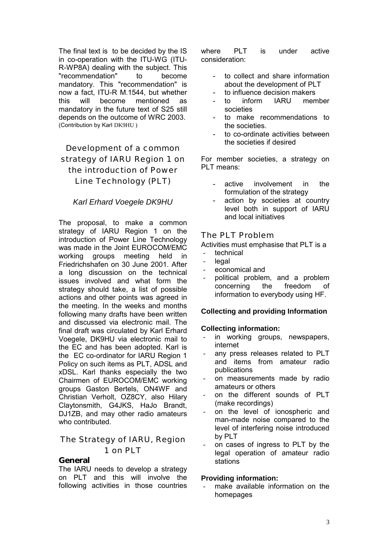The final text is to be decided by the IS in co-operation with the ITU-WG (ITU-R-WP8A) dealing with the subject. This "recommendation" to become mandatory. This "recommendation" is now a fact, ITU-R M.1544, but whether this will become mentioned as mandatory in the future text of S25 still depends on the outcome of WRC 2003. (Contribution by Karl DK9HU )

# Development of a common strategy of IARU Region 1 on the introduction of Power Line Technology (PLT)

# *Karl Erhard Voegele DK9HU*

The proposal, to make a common strategy of IARU Region 1 on the introduction of Power Line Technology was made in the Joint EUROCOM/EMC working groups meeting held in Friedrichshafen on 30 June 2001. After a long discussion on the technical issues involved and what form the strategy should take, a list of possible actions and other points was agreed in the meeting. In the weeks and months following many drafts have been written and discussed via electronic mail. The final draft was circulated by Karl Erhard Voegele, DK9HU via electronic mail to the EC and has been adopted. Karl is the EC co-ordinator for IARU Region 1 Policy on such items as PLT, ADSL and xDSL. Karl thanks especially the two Chairmen of EUROCOM/EMC working groups Gaston Bertels, ON4WF and Christian Verholt, OZ8CY, also Hilary Claytonsmith, G4JKS, HaJo Brandt, DJ1ZB, and may other radio amateurs who contributed.

# The Strategy of IARU, Region 1 on PLT

#### **General**

The IARU needs to develop a strategy on PLT and this will involve the following activities in those countries where PLT is under active consideration:

- to collect and share information about the development of PLT
- to influence decision makers
- to inform IARU member societies
- to make recommendations to the societies.
- to co-ordinate activities between the societies if desired

For member societies, a strategy on PLT means:

- active involvement in the formulation of the strategy
- action by societies at country level both in support of IARU and local initiatives

# The PLT Problem

Activities must emphasise that PLT is a

- technical
- legal
- economical and
- political problem, and a problem concerning the freedom of information to everybody using HF.

#### **Collecting and providing Information**

#### **Collecting information:**

- in working groups, newspapers, internet
- any press releases related to PLT and items from amateur radio publications
- on measurements made by radio amateurs or others
- on the different sounds of PLT (make recordings)
- on the level of ionospheric and man-made noise compared to the level of interfering noise introduced by PLT
- on cases of ingress to PLT by the legal operation of amateur radio stations

#### **Providing information:**

make available information on the homepages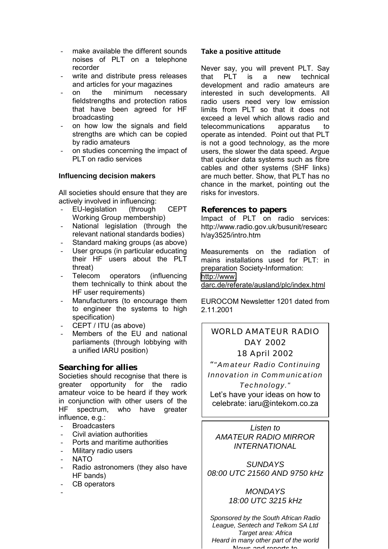- make available the different sounds noises of PLT on a telephone recorder
- write and distribute press releases and articles for your magazines
- on the minimum necessary fieldstrengths and protection ratios that have been agreed for HF broadcasting
- on how low the signals and field strengths are which can be copied by radio amateurs
- on studies concerning the impact of PLT on radio services

# **Influencing decision makers**

All societies should ensure that they are actively involved in influencing:

- EU-legislation (through CEPT Working Group membership)
- National legislation (through the relevant national standards bodies)
- Standard making groups (as above)
- User groups (in particular educating their HF users about the PLT threat)
- Telecom operators (influencing them technically to think about the HF user requirements)
- Manufacturers (to encourage them to engineer the systems to high specification)
- CEPT / ITU (as above)
- Members of the EU and national parliaments (through lobbying with a unified IARU position)

# **Searching for allies**

Societies should recognise that there is greater opportunity for the radio amateur voice to be heard if they work in conjunction with other users of the HF spectrum, who have greater influence, e.g.:

- **Broadcasters**
- Civil aviation authorities
- Ports and maritime authorities
- Military radio users
- NATO
- Radio astronomers (they also have HF bands)
- CB operators
- -

#### **Take a positive attitude**

Never say, you will prevent PLT. Say that PLT is a new technical development and radio amateurs are interested in such developments. All radio users need very low emission limits from PLT so that it does not exceed a level which allows radio and telecommunications apparatus to operate as intended. Point out that PLT is not a good technology, as the more users, the slower the data speed. Argue that quicker data systems such as fibre cables and other systems (SHF links) are much better. Show, that PLT has no chance in the market, pointing out the risks for investors.

#### **References to papers**

Impact of PLT on radio services: http://www.radio.gov.uk/busunit/researc h/ay3525/intro.htm

Measurements on the radiation of mains installations used for PLT: in preparation Society-Information:

[http://www.](http://www/)

darc.de/referate/ausland/plc/index.html

EUROCOM Newsletter 1201 dated from 2.11.2001

# WORLD AMATEUR RADIO DAY 2002

18 April 2002

"*"Amateur Radio Continuing Innovation in Communication Technology."* Let's have your ideas on how to celebrate: iaru@intekom.co.za

*Listen to AMATEUR RADIO MIRROR INTERNATIONAL*

*SUNDAYS 08:00 UTC 21560 AND 9750 kHz*

# *MONDAYS 18:00 UTC 3215 kHz*

*Sponsored by the South African Radio League, Sentech and Telkom SA Ltd Target area: Africa Heard in many other part of the world* Nouse and reports to

4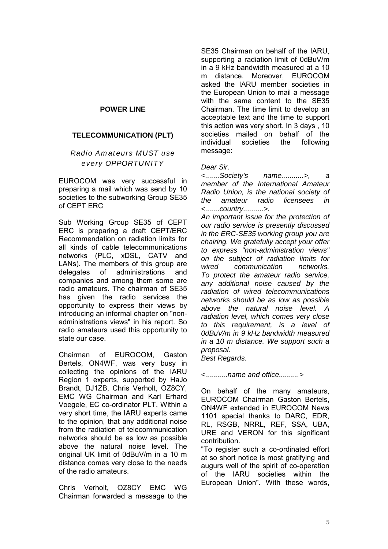# **POWER LINE**

### **TELECOMMUNICATION (PLT)**

### *Radio Amateurs MUST use every OPPORTUNITY*

EUROCOM was very successful in preparing a mail which was send by 10 societies to the subworking Group SE35 of CEPT ERC

Sub Working Group SE35 of CEPT ERC is preparing a draft CEPT/ERC Recommendation on radiation limits for all kinds of cable telecommunications networks (PLC, xDSL, CATV and LANs). The members of this group are delegates of administrations and companies and among them some are radio amateurs. The chairman of SE35 has given the radio services the opportunity to express their views by introducing an informal chapter on "nonadministrations views" in his report. So radio amateurs used this opportunity to state our case.

Chairman of EUROCOM, Gaston Bertels, ON4WF, was very busy in collecting the opinions of the IARU Region 1 experts, supported by HaJo Brandt, DJ1ZB, Chris Verholt, OZ8CY, EMC WG Chairman and Karl Erhard Voegele, EC co-ordinator PLT. Within a very short time, the IARU experts came to the opinion, that any additional noise from the radiation of telecommunication networks should be as low as possible above the natural noise level. The original UK limit of 0dBuV/m in a 10 m distance comes very close to the needs of the radio amateurs.

Chris Verholt, OZ8CY EMC WG Chairman forwarded a message to the

SE35 Chairman on behalf of the IARU, supporting a radiation limit of 0dBuV/m in a 9 kHz bandwidth measured at a 10 m distance. Moreover, EUROCOM asked the IARU member societies in the European Union to mail a message with the same content to the SE35 Chairman. The time limit to develop an acceptable text and the time to support this action was very short. In 3 days , 10 societies mailed on behalf of the individual societies the following message:

#### *Dear Sir,*

*<.......Society's name...........>, a member of the International Amateur Radio Union, is the national society of the amateur radio licensees in <.......country..........>.*

*An important issue for the protection of our radio service is presently discussed in the ERC-SE35 working group you are chairing. We gratefully accept your offer to express "non-administration views" on the subject of radiation limits for wired communication networks. To protect the amateur radio service, any additional noise caused by the radiation of wired telecommunications networks should be as low as possible above the natural noise level. A radiation level, which comes very close to this requirement, is a level of 0dBuV/m in 9 kHz bandwidth measured in a 10 m distance. We support such a proposal.*

*Best Regards.*

*<...........name and office..........>*

On behalf of the many amateurs, EUROCOM Chairman Gaston Bertels, ON4WF extended in EUROCOM News 1101 special thanks to DARC, EDR, RL, RSGB, NRRL, REF, SSA, UBA, URE and VERON for this significant contribution.

"To register such a co-ordinated effort at so short notice is most gratifying and augurs well of the spirit of co-operation of the IARU societies within the European Union". With these words,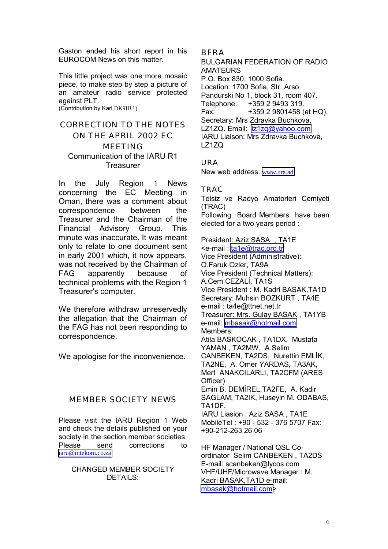Gaston ended his short report in his EUROCOM News on this matter.

This little project was one more mosaic piece, to make step by step a picture of an amateur radio service protected against PLT. (Contribution by Karl DK9HU )

# CORRECTION TO THE NOTES ON THE APRIL 2002 EC MEETING Communication of the IARU R1 **Treasurer**

In the July Region 1 News concerning the EC Meeting in Oman, there was a comment about correspondence between the Treasurer and the Chairman of the Financial Advisory Group. This minute was inaccurate. It was meant only to relate to one document sent in early 2001 which, it now appears, was not received by the Chairman of FAG apparently because of technical problems with the Region 1 Treasurer's computer.

We therefore withdraw unreservedly the allegation that the Chairman of the FAG has not been responding to correspondence.

We apologise for the inconvenience.

# MEMBER SOCIETY NEWS

Please visit the IARU Region 1 Web and check the details published on your society in the section member societies. Please send corrections to [iaru@intekom.co.za](mailto:iaru@intekom.co.za)

#### CHANGED MEMBER SOCIETY DETAILS:

BFRA

BULGARIAN FEDERATION OF RADIO AMATEURS P.O. Box 830, 1000 Sofia. Location: 1700 Sofia, Str. Arso Pandurski No 1, block 31, room 407. Telephone: +359 2 9493 319. Fax: +359 2 9801458 (at HQ). Secretary: Mrs Zdravka Buchkova, LZ1ZQ. Email: [lz1zq@yahoo.com](mailto:lz1zq@yahoo.com) IARU Liaison: Mrs Zdravka Buchkova, LZ1ZQ

URA New web address: [www.ura.ad](http://www.ura.ad/)

TRAC Telsiz ve Radyo Amatorleri Cemiyeti (TRAC) Following Board Members have been elected for a two years period :

President: Aziz SASA , TA1E <e-mail : [ta1e@trac.org.tr](mailto:ta1e@trac.org.tr) Vice President (Administrative): O.Faruk Ozler, TA9A Vice President (Technical Matters): A.Cem CEZALİ, TA1S Vice President : M. Kadri BASAK,TA1D Secretary: Muhsin BOZKURT , TA4E e-mail : ta4e@ttnet.net.tr Treasurer: Mrs. Gulay BASAK , TA1YB e-mail: [mbasak@hotmail.com](mailto:mbasak@hotmail.com) Members: Atila BASKOCAK , TA1DX, Mustafa YAMAN , TA2MW, A.Selim CANBEKEN, TA2DS, Nurettin EMLİK, TA2NE, A. Omer YARDAS, TA3AK, Mert ANAKCILARLI, TA2CFM (ARES Officer) Emin B. DEMİREL,TA2FE, A. Kadir SAGLAM, TA2IK, Huseyin M. ODABAS, TA1DF. IARU Liasion : Aziz SASA , TA1E MobileTel : +90 - 532 - 376 5707 Fax: +90-212-263 26 06 HF Manager / National QSL Co-

ordinator Selim CANBEKEN , TA2DS E-mail: scanbeken@lycos.com VHF/UHF/Microwave Manager : M. Kadri BASAK,TA1D e-mail: [mbasak@hotmail.com>](mailto:mbasak@hotmail.com)